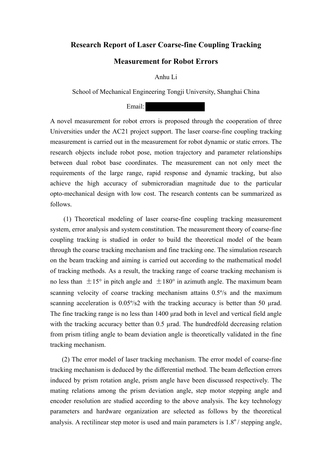## **Research Report of Laser Coarse-fine Coupling Tracking**

## **Measurement for Robot Errors**

Anhu Li

School of Mechanical Engineering Tongji University, Shanghai China

Email:

A novel measurement for robot errors is proposed through the cooperation of three Universities under the AC21 project support. The laser coarse-fine coupling tracking measurement is carried out in the measurement for robot dynamic or static errors. The research objects include robot pose, motion trajectory and parameter relationships between dual robot base coordinates. The measurement can not only meet the requirements of the large range, rapid response and dynamic tracking, but also achieve the high accuracy of submicroradian magnitude due to the particular opto-mechanical design with low cost. The research contents can be summarized as follows.

(1) Theoretical modeling of laser coarse-fine coupling tracking measurement system, error analysis and system constitution. The measurement theory of coarse-fine coupling tracking is studied in order to build the theoretical model of the beam through the coarse tracking mechanism and fine tracking one. The simulation research on the beam tracking and aiming is carried out according to the mathematical model of tracking methods. As a result, the tracking range of coarse tracking mechanism is no less than  $\pm 15^{\circ}$  in pitch angle and  $\pm 180^{\circ}$  in azimuth angle. The maximum beam scanning velocity of coarse tracking mechanism attains 0.5º/s and the maximum scanning acceleration is  $0.05\frac{\text{S}}{\text{S}}$  with the tracking accuracy is better than 50 urad. The fine tracking range is no less than 1400 μrad both in level and vertical field angle with the tracking accuracy better than 0.5 µrad. The hundredfold decreasing relation from prism titling angle to beam deviation angle is theoretically validated in the fine tracking mechanism.

(2) The error model of laser tracking mechanism. The error model of coarse-fine tracking mechanism is deduced by the differential method. The beam deflection errors induced by prism rotation angle, prism angle have been discussed respectively. The mating relations among the prism deviation angle, step motor stepping angle and encoder resolution are studied according to the above analysis. The key technology parameters and hardware organization are selected as follows by the theoretical analysis. A rectilinear step motor is used and main parameters is  $1.8^{\circ}$  stepping angle,